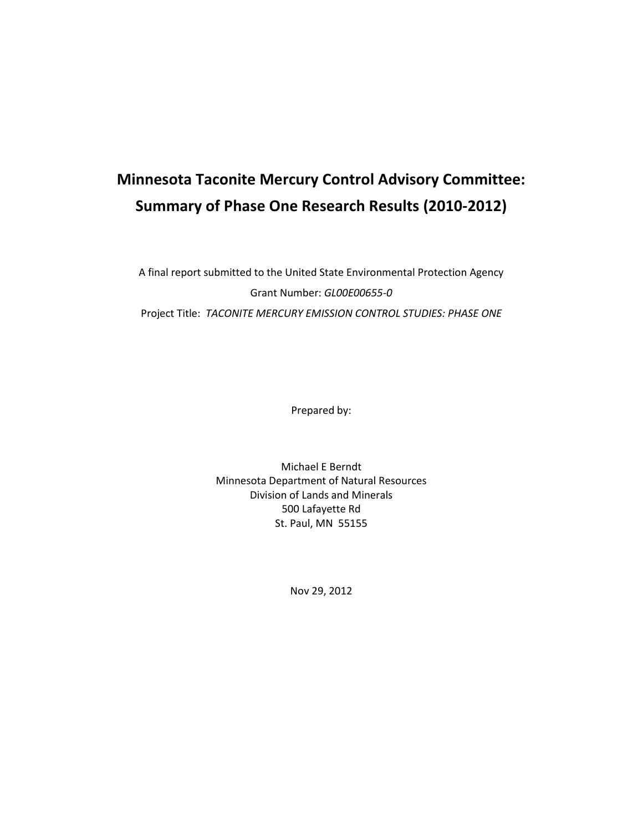# **Minnesota Taconite Mercury Control Advisory Committee: Summary of Phase One Research Results (2010-2012)**

A final report submitted to the United State Environmental Protection Agency Grant Number: *GL00E00655-0* Project Title: *TACONITE MERCURY EMISSION CONTROL STUDIES: PHASE ONE*

Prepared by:

Michael E Berndt Minnesota Department of Natural Resources Division of Lands and Minerals 500 Lafayette Rd St. Paul, MN 55155

Nov 29, 2012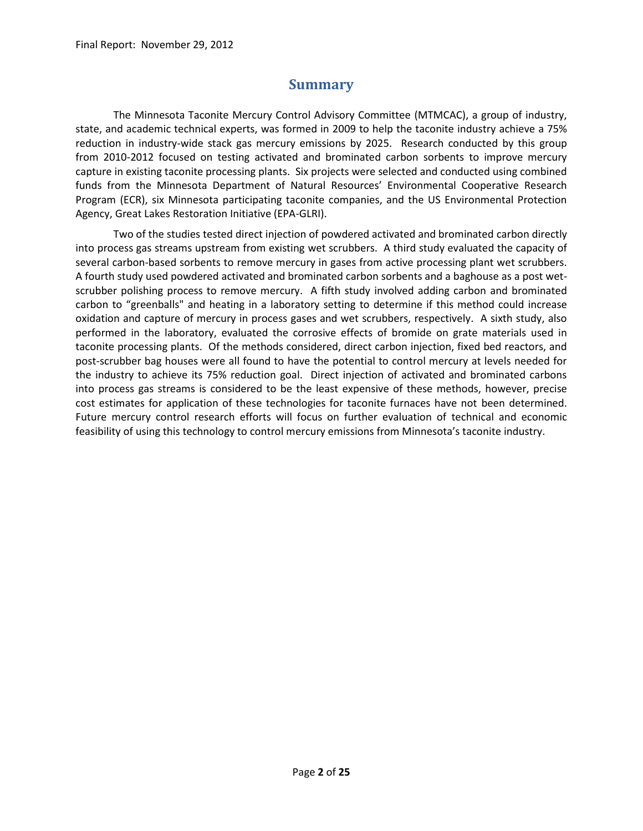### **Summary**

<span id="page-1-0"></span>The Minnesota Taconite Mercury Control Advisory Committee (MTMCAC), a group of industry, state, and academic technical experts, was formed in 2009 to help the taconite industry achieve a 75% reduction in industry-wide stack gas mercury emissions by 2025. Research conducted by this group from 2010-2012 focused on testing activated and brominated carbon sorbents to improve mercury capture in existing taconite processing plants. Six projects were selected and conducted using combined funds from the Minnesota Department of Natural Resources' Environmental Cooperative Research Program (ECR), six Minnesota participating taconite companies, and the US Environmental Protection Agency, Great Lakes Restoration Initiative (EPA-GLRI).

Two of the studies tested direct injection of powdered activated and brominated carbon directly into process gas streams upstream from existing wet scrubbers. A third study evaluated the capacity of several carbon-based sorbents to remove mercury in gases from active processing plant wet scrubbers. A fourth study used powdered activated and brominated carbon sorbents and a baghouse as a post wetscrubber polishing process to remove mercury. A fifth study involved adding carbon and brominated carbon to "greenballs" and heating in a laboratory setting to determine if this method could increase oxidation and capture of mercury in process gases and wet scrubbers, respectively. A sixth study, also performed in the laboratory, evaluated the corrosive effects of bromide on grate materials used in taconite processing plants. Of the methods considered, direct carbon injection, fixed bed reactors, and post-scrubber bag houses were all found to have the potential to control mercury at levels needed for the industry to achieve its 75% reduction goal. Direct injection of activated and brominated carbons into process gas streams is considered to be the least expensive of these methods, however, precise cost estimates for application of these technologies for taconite furnaces have not been determined. Future mercury control research efforts will focus on further evaluation of technical and economic feasibility of using this technology to control mercury emissions from Minnesota's taconite industry.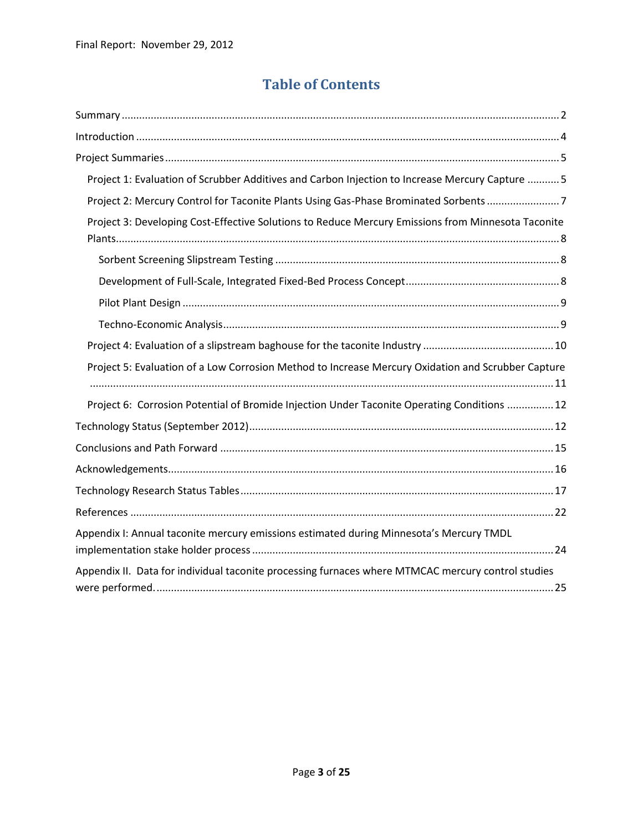# **Table of Contents**

| Project 1: Evaluation of Scrubber Additives and Carbon Injection to Increase Mercury Capture  5    |
|----------------------------------------------------------------------------------------------------|
| Project 2: Mercury Control for Taconite Plants Using Gas-Phase Brominated Sorbents 7               |
| Project 3: Developing Cost-Effective Solutions to Reduce Mercury Emissions from Minnesota Taconite |
|                                                                                                    |
|                                                                                                    |
|                                                                                                    |
|                                                                                                    |
|                                                                                                    |
| Project 5: Evaluation of a Low Corrosion Method to Increase Mercury Oxidation and Scrubber Capture |
| Project 6: Corrosion Potential of Bromide Injection Under Taconite Operating Conditions  12        |
|                                                                                                    |
|                                                                                                    |
|                                                                                                    |
|                                                                                                    |
|                                                                                                    |
| Appendix I: Annual taconite mercury emissions estimated during Minnesota's Mercury TMDL            |
| Appendix II. Data for individual taconite processing furnaces where MTMCAC mercury control studies |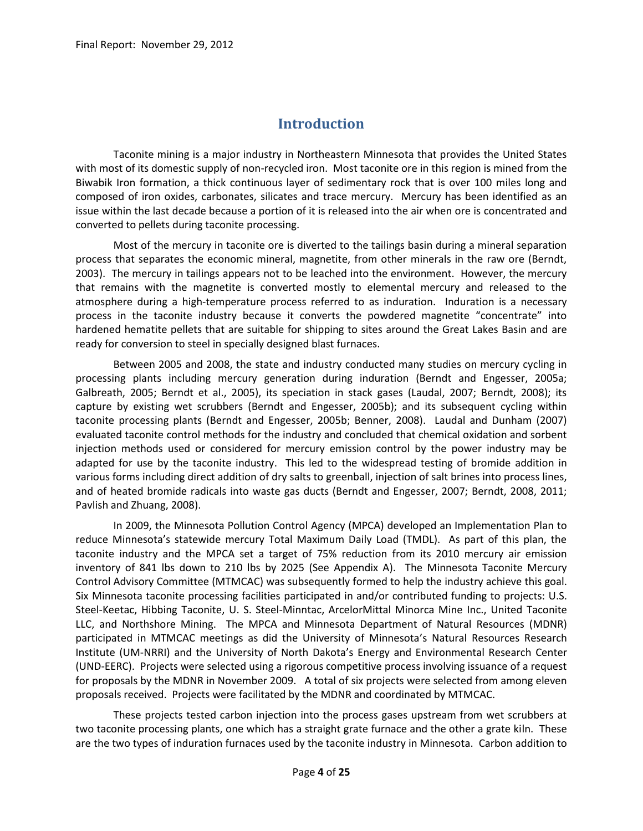### **Introduction**

<span id="page-3-0"></span>Taconite mining is a major industry in Northeastern Minnesota that provides the United States with most of its domestic supply of non-recycled iron. Most taconite ore in this region is mined from the Biwabik Iron formation, a thick continuous layer of sedimentary rock that is over 100 miles long and composed of iron oxides, carbonates, silicates and trace mercury. Mercury has been identified as an issue within the last decade because a portion of it is released into the air when ore is concentrated and converted to pellets during taconite processing.

Most of the mercury in taconite ore is diverted to the tailings basin during a mineral separation process that separates the economic mineral, magnetite, from other minerals in the raw ore (Berndt, 2003). The mercury in tailings appears not to be leached into the environment. However, the mercury that remains with the magnetite is converted mostly to elemental mercury and released to the atmosphere during a high-temperature process referred to as induration. Induration is a necessary process in the taconite industry because it converts the powdered magnetite "concentrate" into hardened hematite pellets that are suitable for shipping to sites around the Great Lakes Basin and are ready for conversion to steel in specially designed blast furnaces.

Between 2005 and 2008, the state and industry conducted many studies on mercury cycling in processing plants including mercury generation during induration (Berndt and Engesser, 2005a; Galbreath, 2005; Berndt et al., 2005), its speciation in stack gases (Laudal, 2007; Berndt, 2008); its capture by existing wet scrubbers (Berndt and Engesser, 2005b); and its subsequent cycling within taconite processing plants (Berndt and Engesser, 2005b; Benner, 2008). Laudal and Dunham (2007) evaluated taconite control methods for the industry and concluded that chemical oxidation and sorbent injection methods used or considered for mercury emission control by the power industry may be adapted for use by the taconite industry. This led to the widespread testing of bromide addition in various forms including direct addition of dry salts to greenball, injection of salt brines into process lines, and of heated bromide radicals into waste gas ducts (Berndt and Engesser, 2007; Berndt, 2008, 2011; Pavlish and Zhuang, 2008).

In 2009, the Minnesota Pollution Control Agency (MPCA) developed an Implementation Plan to reduce Minnesota's statewide mercury Total Maximum Daily Load (TMDL). As part of this plan, the taconite industry and the MPCA set a target of 75% reduction from its 2010 mercury air emission inventory of 841 lbs down to 210 lbs by 2025 (See Appendix A). The Minnesota Taconite Mercury Control Advisory Committee (MTMCAC) was subsequently formed to help the industry achieve this goal. Six Minnesota taconite processing facilities participated in and/or contributed funding to projects: U.S. Steel-Keetac, Hibbing Taconite, U. S. Steel-Minntac, ArcelorMittal Minorca Mine Inc., United Taconite LLC, and Northshore Mining. The MPCA and Minnesota Department of Natural Resources (MDNR) participated in MTMCAC meetings as did the University of Minnesota's Natural Resources Research Institute (UM-NRRI) and the University of North Dakota's Energy and Environmental Research Center (UND-EERC). Projects were selected using a rigorous competitive process involving issuance of a request for proposals by the MDNR in November 2009. A total of six projects were selected from among eleven proposals received. Projects were facilitated by the MDNR and coordinated by MTMCAC.

These projects tested carbon injection into the process gases upstream from wet scrubbers at two taconite processing plants, one which has a straight grate furnace and the other a grate kiln. These are the two types of induration furnaces used by the taconite industry in Minnesota. Carbon addition to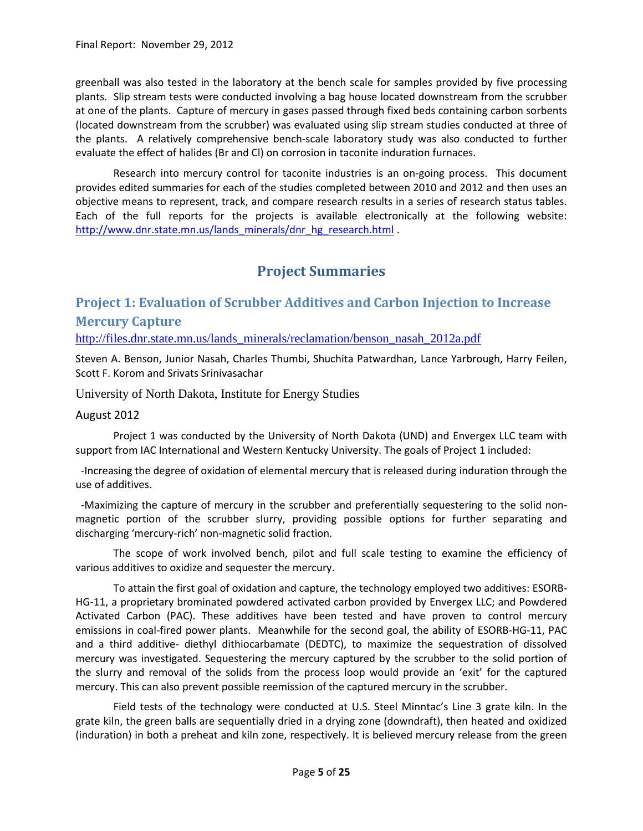greenball was also tested in the laboratory at the bench scale for samples provided by five processing plants. Slip stream tests were conducted involving a bag house located downstream from the scrubber at one of the plants. Capture of mercury in gases passed through fixed beds containing carbon sorbents (located downstream from the scrubber) was evaluated using slip stream studies conducted at three of the plants. A relatively comprehensive bench-scale laboratory study was also conducted to further evaluate the effect of halides (Br and Cl) on corrosion in taconite induration furnaces.

Research into mercury control for taconite industries is an on-going process. This document provides edited summaries for each of the studies completed between 2010 and 2012 and then uses an objective means to represent, track, and compare research results in a series of research status tables. Each of the full reports for the projects is available electronically at the following website: [http://www.dnr.state.mn.us/lands\\_minerals/dnr\\_hg\\_research.html](http://www.dnr.state.mn.us/lands_minerals/dnr_hg_research.html) .

# **Project Summaries**

### <span id="page-4-1"></span><span id="page-4-0"></span>**Project 1: Evaluation of Scrubber Additives and Carbon Injection to Increase Mercury Capture**

[http://files.dnr.state.mn.us/lands\\_minerals/reclamation/benson\\_nasah\\_2012a.pdf](http://files.dnr.state.mn.us/lands_minerals/reclamation/benson_nasah_2012a.pdf)

Steven A. Benson, Junior Nasah, Charles Thumbi, Shuchita Patwardhan, Lance Yarbrough, Harry Feilen, Scott F. Korom and Srivats Srinivasachar

University of North Dakota, Institute for Energy Studies

#### August 2012

Project 1 was conducted by the University of North Dakota (UND) and Envergex LLC team with support from IAC International and Western Kentucky University. The goals of Project 1 included:

 -Increasing the degree of oxidation of elemental mercury that is released during induration through the use of additives.

 -Maximizing the capture of mercury in the scrubber and preferentially sequestering to the solid nonmagnetic portion of the scrubber slurry, providing possible options for further separating and discharging 'mercury-rich' non-magnetic solid fraction.

The scope of work involved bench, pilot and full scale testing to examine the efficiency of various additives to oxidize and sequester the mercury.

To attain the first goal of oxidation and capture, the technology employed two additives: ESORB-HG-11, a proprietary brominated powdered activated carbon provided by Envergex LLC; and Powdered Activated Carbon (PAC). These additives have been tested and have proven to control mercury emissions in coal-fired power plants. Meanwhile for the second goal, the ability of ESORB-HG-11, PAC and a third additive- diethyl dithiocarbamate (DEDTC), to maximize the sequestration of dissolved mercury was investigated. Sequestering the mercury captured by the scrubber to the solid portion of the slurry and removal of the solids from the process loop would provide an 'exit' for the captured mercury. This can also prevent possible reemission of the captured mercury in the scrubber.

Field tests of the technology were conducted at U.S. Steel Minntac's Line 3 grate kiln. In the grate kiln, the green balls are sequentially dried in a drying zone (downdraft), then heated and oxidized (induration) in both a preheat and kiln zone, respectively. It is believed mercury release from the green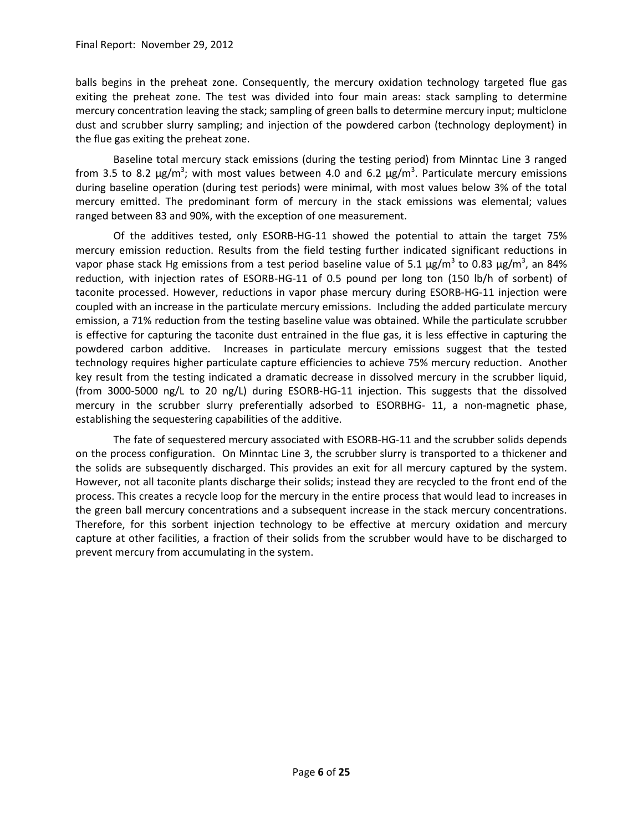balls begins in the preheat zone. Consequently, the mercury oxidation technology targeted flue gas exiting the preheat zone. The test was divided into four main areas: stack sampling to determine mercury concentration leaving the stack; sampling of green balls to determine mercury input; multiclone dust and scrubber slurry sampling; and injection of the powdered carbon (technology deployment) in the flue gas exiting the preheat zone.

Baseline total mercury stack emissions (during the testing period) from Minntac Line 3 ranged from 3.5 to 8.2 μg/m<sup>3</sup>; with most values between 4.0 and 6.2 μg/m<sup>3</sup>. Particulate mercury emissions during baseline operation (during test periods) were minimal, with most values below 3% of the total mercury emitted. The predominant form of mercury in the stack emissions was elemental; values ranged between 83 and 90%, with the exception of one measurement.

Of the additives tested, only ESORB-HG-11 showed the potential to attain the target 75% mercury emission reduction. Results from the field testing further indicated significant reductions in vapor phase stack Hg emissions from a test period baseline value of 5.1  $\mu$ g/m<sup>3</sup> to 0.83  $\mu$ g/m<sup>3</sup>, an 84% reduction, with injection rates of ESORB-HG-11 of 0.5 pound per long ton (150 lb/h of sorbent) of taconite processed. However, reductions in vapor phase mercury during ESORB-HG-11 injection were coupled with an increase in the particulate mercury emissions. Including the added particulate mercury emission, a 71% reduction from the testing baseline value was obtained. While the particulate scrubber is effective for capturing the taconite dust entrained in the flue gas, it is less effective in capturing the powdered carbon additive. Increases in particulate mercury emissions suggest that the tested technology requires higher particulate capture efficiencies to achieve 75% mercury reduction. Another key result from the testing indicated a dramatic decrease in dissolved mercury in the scrubber liquid, (from 3000-5000 ng/L to 20 ng/L) during ESORB-HG-11 injection. This suggests that the dissolved mercury in the scrubber slurry preferentially adsorbed to ESORBHG- 11, a non-magnetic phase, establishing the sequestering capabilities of the additive.

The fate of sequestered mercury associated with ESORB-HG-11 and the scrubber solids depends on the process configuration. On Minntac Line 3, the scrubber slurry is transported to a thickener and the solids are subsequently discharged. This provides an exit for all mercury captured by the system. However, not all taconite plants discharge their solids; instead they are recycled to the front end of the process. This creates a recycle loop for the mercury in the entire process that would lead to increases in the green ball mercury concentrations and a subsequent increase in the stack mercury concentrations. Therefore, for this sorbent injection technology to be effective at mercury oxidation and mercury capture at other facilities, a fraction of their solids from the scrubber would have to be discharged to prevent mercury from accumulating in the system.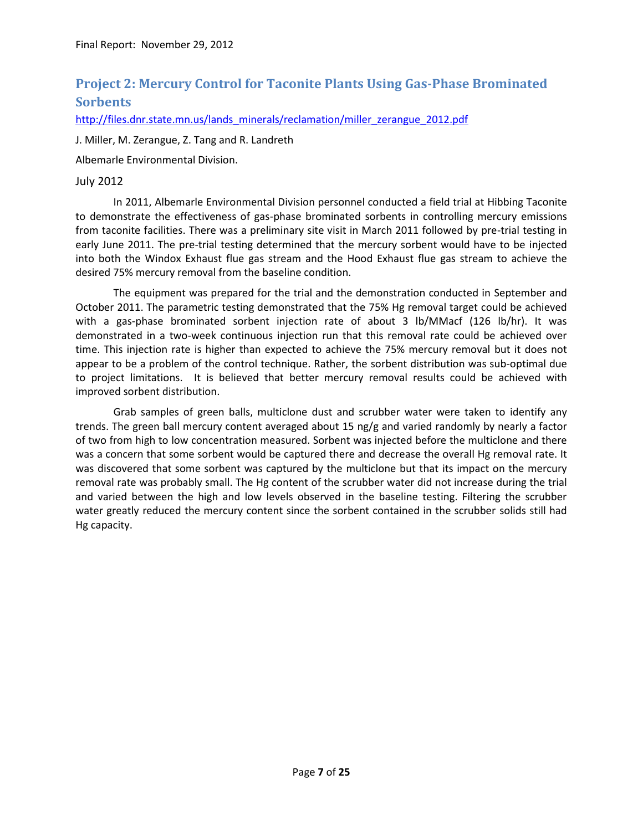### <span id="page-6-0"></span>**Project 2: Mercury Control for Taconite Plants Using Gas-Phase Brominated Sorbents**

[http://files.dnr.state.mn.us/lands\\_minerals/reclamation/miller\\_zerangue\\_2012.pdf](http://files.dnr.state.mn.us/lands_minerals/reclamation/miller_zerangue_2012.pdf)

J. Miller, M. Zerangue, Z. Tang and R. Landreth

Albemarle Environmental Division.

#### July 2012

In 2011, Albemarle Environmental Division personnel conducted a field trial at Hibbing Taconite to demonstrate the effectiveness of gas-phase brominated sorbents in controlling mercury emissions from taconite facilities. There was a preliminary site visit in March 2011 followed by pre-trial testing in early June 2011. The pre-trial testing determined that the mercury sorbent would have to be injected into both the Windox Exhaust flue gas stream and the Hood Exhaust flue gas stream to achieve the desired 75% mercury removal from the baseline condition.

The equipment was prepared for the trial and the demonstration conducted in September and October 2011. The parametric testing demonstrated that the 75% Hg removal target could be achieved with a gas-phase brominated sorbent injection rate of about 3 lb/MMacf (126 lb/hr). It was demonstrated in a two-week continuous injection run that this removal rate could be achieved over time. This injection rate is higher than expected to achieve the 75% mercury removal but it does not appear to be a problem of the control technique. Rather, the sorbent distribution was sub-optimal due to project limitations. It is believed that better mercury removal results could be achieved with improved sorbent distribution.

Grab samples of green balls, multiclone dust and scrubber water were taken to identify any trends. The green ball mercury content averaged about 15 ng/g and varied randomly by nearly a factor of two from high to low concentration measured. Sorbent was injected before the multiclone and there was a concern that some sorbent would be captured there and decrease the overall Hg removal rate. It was discovered that some sorbent was captured by the multiclone but that its impact on the mercury removal rate was probably small. The Hg content of the scrubber water did not increase during the trial and varied between the high and low levels observed in the baseline testing. Filtering the scrubber water greatly reduced the mercury content since the sorbent contained in the scrubber solids still had Hg capacity.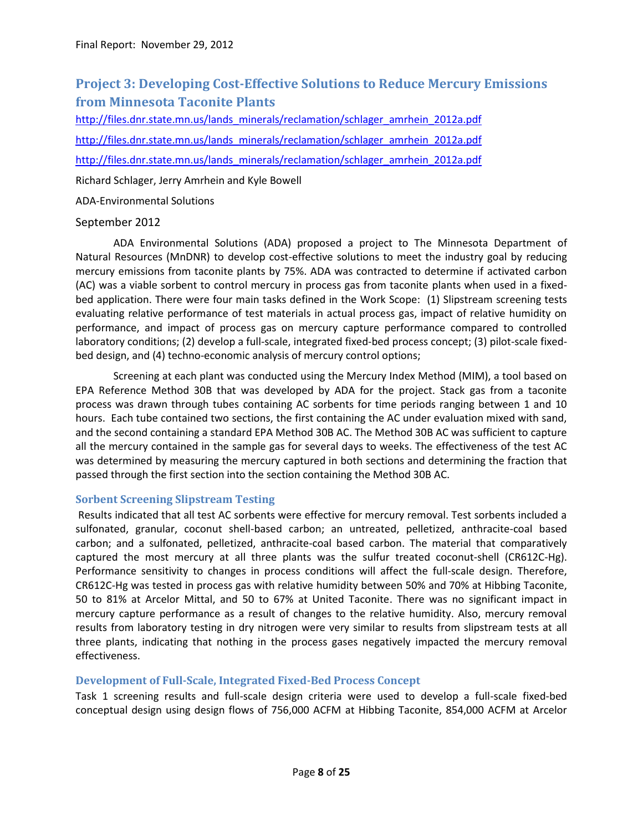# <span id="page-7-0"></span>**Project 3: Developing Cost-Effective Solutions to Reduce Mercury Emissions from Minnesota Taconite Plants**

[http://files.dnr.state.mn.us/lands\\_minerals/reclamation/schlager\\_amrhein\\_2012a.pdf](http://files.dnr.state.mn.us/lands_minerals/reclamation/schlager_amrhein_2012a.pdf) [http://files.dnr.state.mn.us/lands\\_minerals/reclamation/schlager\\_amrhein\\_2012a.pdf](http://files.dnr.state.mn.us/lands_minerals/reclamation/schlager_amrhein_2012a.pdf) [http://files.dnr.state.mn.us/lands\\_minerals/reclamation/schlager\\_amrhein\\_2012a.pdf](http://files.dnr.state.mn.us/lands_minerals/reclamation/schlager_amrhein_2012a.pdf)

Richard Schlager, Jerry Amrhein and Kyle Bowell

ADA-Environmental Solutions

### September 2012

ADA Environmental Solutions (ADA) proposed a project to The Minnesota Department of Natural Resources (MnDNR) to develop cost-effective solutions to meet the industry goal by reducing mercury emissions from taconite plants by 75%. ADA was contracted to determine if activated carbon (AC) was a viable sorbent to control mercury in process gas from taconite plants when used in a fixedbed application. There were four main tasks defined in the Work Scope: (1) Slipstream screening tests evaluating relative performance of test materials in actual process gas, impact of relative humidity on performance, and impact of process gas on mercury capture performance compared to controlled laboratory conditions; (2) develop a full-scale, integrated fixed-bed process concept; (3) pilot-scale fixedbed design, and (4) techno-economic analysis of mercury control options;

Screening at each plant was conducted using the Mercury Index Method (MIM), a tool based on EPA Reference Method 30B that was developed by ADA for the project. Stack gas from a taconite process was drawn through tubes containing AC sorbents for time periods ranging between 1 and 10 hours. Each tube contained two sections, the first containing the AC under evaluation mixed with sand, and the second containing a standard EPA Method 30B AC. The Method 30B AC was sufficient to capture all the mercury contained in the sample gas for several days to weeks. The effectiveness of the test AC was determined by measuring the mercury captured in both sections and determining the fraction that passed through the first section into the section containing the Method 30B AC.

### <span id="page-7-1"></span>**Sorbent Screening Slipstream Testing**

Results indicated that all test AC sorbents were effective for mercury removal. Test sorbents included a sulfonated, granular, coconut shell-based carbon; an untreated, pelletized, anthracite-coal based carbon; and a sulfonated, pelletized, anthracite-coal based carbon. The material that comparatively captured the most mercury at all three plants was the sulfur treated coconut-shell (CR612C-Hg). Performance sensitivity to changes in process conditions will affect the full-scale design. Therefore, CR612C-Hg was tested in process gas with relative humidity between 50% and 70% at Hibbing Taconite, 50 to 81% at Arcelor Mittal, and 50 to 67% at United Taconite. There was no significant impact in mercury capture performance as a result of changes to the relative humidity. Also, mercury removal results from laboratory testing in dry nitrogen were very similar to results from slipstream tests at all three plants, indicating that nothing in the process gases negatively impacted the mercury removal effectiveness.

### <span id="page-7-2"></span>**Development of Full-Scale, Integrated Fixed-Bed Process Concept**

Task 1 screening results and full-scale design criteria were used to develop a full-scale fixed-bed conceptual design using design flows of 756,000 ACFM at Hibbing Taconite, 854,000 ACFM at Arcelor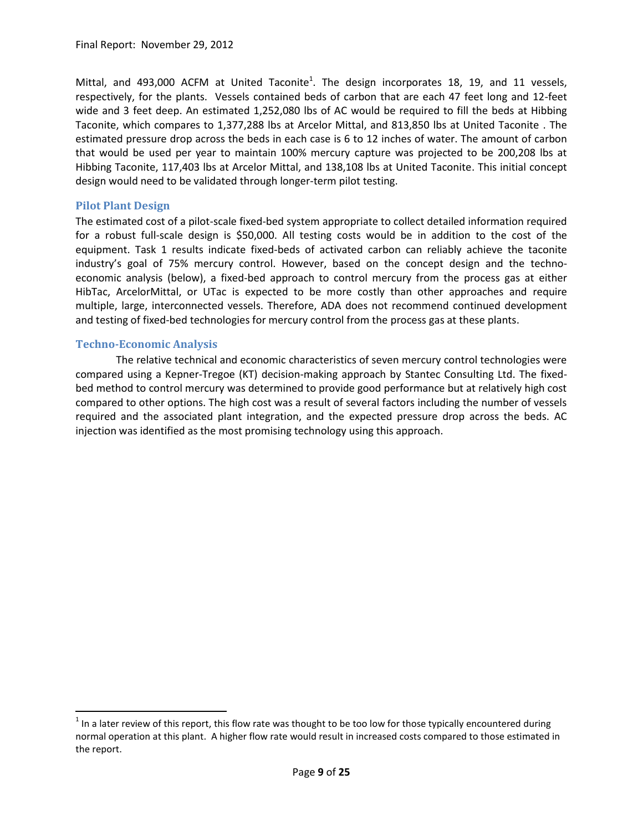Mittal, and 493,000 ACFM at United Taconite<sup>1</sup>. The design incorporates 18, 19, and 11 vessels, respectively, for the plants. Vessels contained beds of carbon that are each 47 feet long and 12-feet wide and 3 feet deep. An estimated 1,252,080 lbs of AC would be required to fill the beds at Hibbing Taconite, which compares to 1,377,288 lbs at Arcelor Mittal, and 813,850 lbs at United Taconite . The estimated pressure drop across the beds in each case is 6 to 12 inches of water. The amount of carbon that would be used per year to maintain 100% mercury capture was projected to be 200,208 lbs at Hibbing Taconite, 117,403 lbs at Arcelor Mittal, and 138,108 lbs at United Taconite. This initial concept design would need to be validated through longer-term pilot testing.

#### <span id="page-8-0"></span>**Pilot Plant Design**

The estimated cost of a pilot-scale fixed-bed system appropriate to collect detailed information required for a robust full-scale design is \$50,000. All testing costs would be in addition to the cost of the equipment. Task 1 results indicate fixed-beds of activated carbon can reliably achieve the taconite industry's goal of 75% mercury control. However, based on the concept design and the technoeconomic analysis (below), a fixed-bed approach to control mercury from the process gas at either HibTac, ArcelorMittal, or UTac is expected to be more costly than other approaches and require multiple, large, interconnected vessels. Therefore, ADA does not recommend continued development and testing of fixed-bed technologies for mercury control from the process gas at these plants.

#### <span id="page-8-1"></span>**Techno-Economic Analysis**

 $\overline{\phantom{a}}$ 

The relative technical and economic characteristics of seven mercury control technologies were compared using a Kepner-Tregoe (KT) decision-making approach by Stantec Consulting Ltd. The fixedbed method to control mercury was determined to provide good performance but at relatively high cost compared to other options. The high cost was a result of several factors including the number of vessels required and the associated plant integration, and the expected pressure drop across the beds. AC injection was identified as the most promising technology using this approach.

 $^1$  In a later review of this report, this flow rate was thought to be too low for those typically encountered during normal operation at this plant. A higher flow rate would result in increased costs compared to those estimated in the report.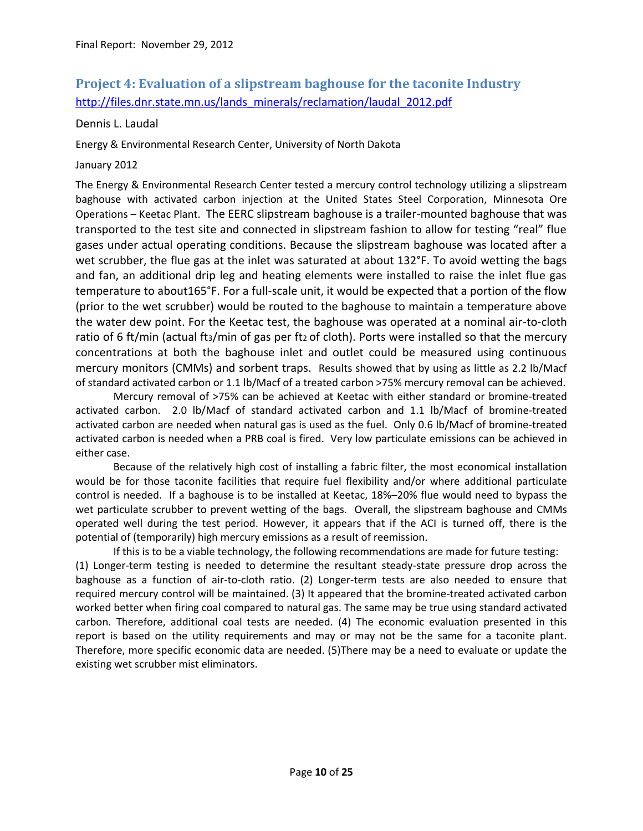### <span id="page-9-0"></span>**Project 4: Evaluation of a slipstream baghouse for the taconite Industry** [http://files.dnr.state.mn.us/lands\\_minerals/reclamation/laudal\\_2012.pdf](http://files.dnr.state.mn.us/lands_minerals/reclamation/laudal_2012.pdf)

Dennis L. Laudal

Energy & Environmental Research Center, University of North Dakota

### January 2012

The Energy & Environmental Research Center tested a mercury control technology utilizing a slipstream baghouse with activated carbon injection at the United States Steel Corporation, Minnesota Ore Operations – Keetac Plant. The EERC slipstream baghouse is a trailer-mounted baghouse that was transported to the test site and connected in slipstream fashion to allow for testing "real" flue gases under actual operating conditions. Because the slipstream baghouse was located after a wet scrubber, the flue gas at the inlet was saturated at about 132°F. To avoid wetting the bags and fan, an additional drip leg and heating elements were installed to raise the inlet flue gas temperature to about165°F. For a full-scale unit, it would be expected that a portion of the flow (prior to the wet scrubber) would be routed to the baghouse to maintain a temperature above the water dew point. For the Keetac test, the baghouse was operated at a nominal air-to-cloth ratio of 6 ft/min (actual ft<sub>3</sub>/min of gas per ft<sub>2</sub> of cloth). Ports were installed so that the mercury concentrations at both the baghouse inlet and outlet could be measured using continuous mercury monitors (CMMs) and sorbent traps. Results showed that by using as little as 2.2 lb/Macf of standard activated carbon or 1.1 lb/Macf of a treated carbon >75% mercury removal can be achieved.

Mercury removal of >75% can be achieved at Keetac with either standard or bromine-treated activated carbon. 2.0 lb/Macf of standard activated carbon and 1.1 lb/Macf of bromine-treated activated carbon are needed when natural gas is used as the fuel. Only 0.6 lb/Macf of bromine-treated activated carbon is needed when a PRB coal is fired. Very low particulate emissions can be achieved in either case.

Because of the relatively high cost of installing a fabric filter, the most economical installation would be for those taconite facilities that require fuel flexibility and/or where additional particulate control is needed. If a baghouse is to be installed at Keetac, 18%–20% flue would need to bypass the wet particulate scrubber to prevent wetting of the bags. Overall, the slipstream baghouse and CMMs operated well during the test period. However, it appears that if the ACI is turned off, there is the potential of (temporarily) high mercury emissions as a result of reemission.

If this is to be a viable technology, the following recommendations are made for future testing: (1) Longer-term testing is needed to determine the resultant steady-state pressure drop across the baghouse as a function of air-to-cloth ratio. (2) Longer-term tests are also needed to ensure that required mercury control will be maintained. (3) It appeared that the bromine-treated activated carbon worked better when firing coal compared to natural gas. The same may be true using standard activated carbon. Therefore, additional coal tests are needed. (4) The economic evaluation presented in this report is based on the utility requirements and may or may not be the same for a taconite plant. Therefore, more specific economic data are needed. (5)There may be a need to evaluate or update the existing wet scrubber mist eliminators.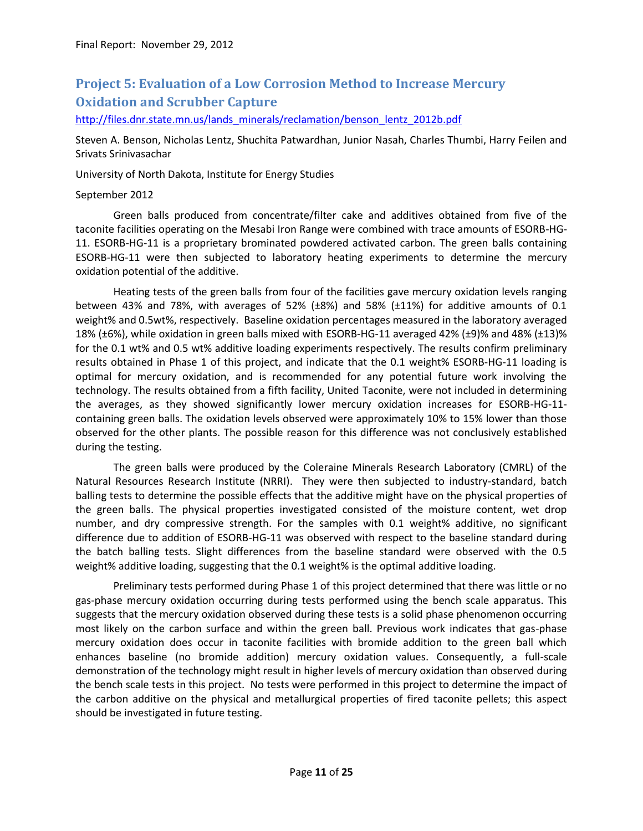# <span id="page-10-0"></span>**Project 5: Evaluation of a Low Corrosion Method to Increase Mercury Oxidation and Scrubber Capture**

[http://files.dnr.state.mn.us/lands\\_minerals/reclamation/benson\\_lentz\\_2012b.pdf](http://files.dnr.state.mn.us/lands_minerals/reclamation/benson_lentz_2012b.pdf)

Steven A. Benson, Nicholas Lentz, Shuchita Patwardhan, Junior Nasah, Charles Thumbi, Harry Feilen and Srivats Srinivasachar

University of North Dakota, Institute for Energy Studies

#### September 2012

Green balls produced from concentrate/filter cake and additives obtained from five of the taconite facilities operating on the Mesabi Iron Range were combined with trace amounts of ESORB-HG-11. ESORB-HG-11 is a proprietary brominated powdered activated carbon. The green balls containing ESORB-HG-11 were then subjected to laboratory heating experiments to determine the mercury oxidation potential of the additive.

Heating tests of the green balls from four of the facilities gave mercury oxidation levels ranging between 43% and 78%, with averages of 52% (±8%) and 58% (±11%) for additive amounts of 0.1 weight% and 0.5wt%, respectively. Baseline oxidation percentages measured in the laboratory averaged 18% (±6%), while oxidation in green balls mixed with ESORB-HG-11 averaged 42% (±9)% and 48% (±13)% for the 0.1 wt% and 0.5 wt% additive loading experiments respectively. The results confirm preliminary results obtained in Phase 1 of this project, and indicate that the 0.1 weight% ESORB-HG-11 loading is optimal for mercury oxidation, and is recommended for any potential future work involving the technology. The results obtained from a fifth facility, United Taconite, were not included in determining the averages, as they showed significantly lower mercury oxidation increases for ESORB-HG-11 containing green balls. The oxidation levels observed were approximately 10% to 15% lower than those observed for the other plants. The possible reason for this difference was not conclusively established during the testing.

The green balls were produced by the Coleraine Minerals Research Laboratory (CMRL) of the Natural Resources Research Institute (NRRI). They were then subjected to industry-standard, batch balling tests to determine the possible effects that the additive might have on the physical properties of the green balls. The physical properties investigated consisted of the moisture content, wet drop number, and dry compressive strength. For the samples with 0.1 weight% additive, no significant difference due to addition of ESORB-HG-11 was observed with respect to the baseline standard during the batch balling tests. Slight differences from the baseline standard were observed with the 0.5 weight% additive loading, suggesting that the 0.1 weight% is the optimal additive loading.

Preliminary tests performed during Phase 1 of this project determined that there was little or no gas-phase mercury oxidation occurring during tests performed using the bench scale apparatus. This suggests that the mercury oxidation observed during these tests is a solid phase phenomenon occurring most likely on the carbon surface and within the green ball. Previous work indicates that gas-phase mercury oxidation does occur in taconite facilities with bromide addition to the green ball which enhances baseline (no bromide addition) mercury oxidation values. Consequently, a full-scale demonstration of the technology might result in higher levels of mercury oxidation than observed during the bench scale tests in this project. No tests were performed in this project to determine the impact of the carbon additive on the physical and metallurgical properties of fired taconite pellets; this aspect should be investigated in future testing.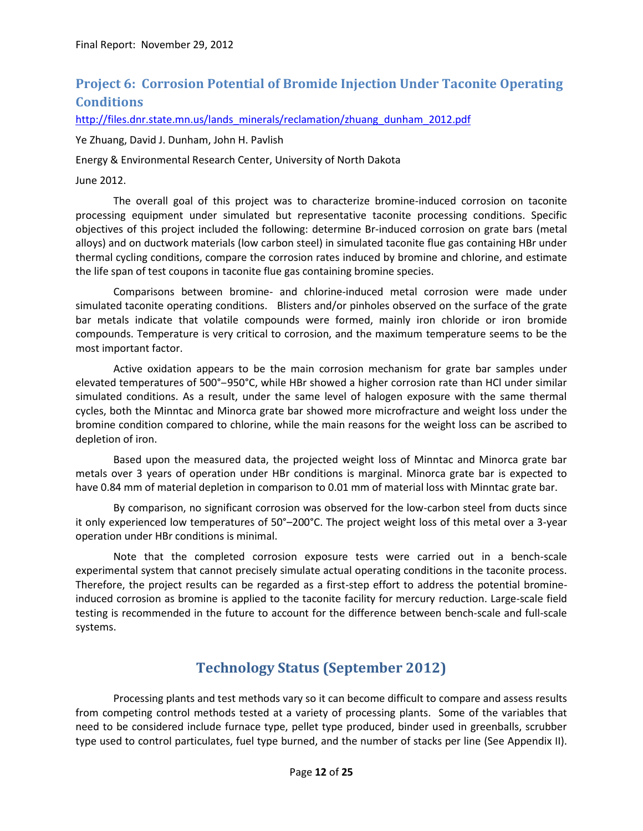## <span id="page-11-0"></span>**Project 6: Corrosion Potential of Bromide Injection Under Taconite Operating Conditions**

[http://files.dnr.state.mn.us/lands\\_minerals/reclamation/zhuang\\_dunham\\_2012.pdf](http://files.dnr.state.mn.us/lands_minerals/reclamation/zhuang_dunham_2012.pdf)

Ye Zhuang, David J. Dunham, John H. Pavlish

Energy & Environmental Research Center, University of North Dakota

June 2012.

The overall goal of this project was to characterize bromine-induced corrosion on taconite processing equipment under simulated but representative taconite processing conditions. Specific objectives of this project included the following: determine Br-induced corrosion on grate bars (metal alloys) and on ductwork materials (low carbon steel) in simulated taconite flue gas containing HBr under thermal cycling conditions, compare the corrosion rates induced by bromine and chlorine, and estimate the life span of test coupons in taconite flue gas containing bromine species.

Comparisons between bromine- and chlorine-induced metal corrosion were made under simulated taconite operating conditions. Blisters and/or pinholes observed on the surface of the grate bar metals indicate that volatile compounds were formed, mainly iron chloride or iron bromide compounds. Temperature is very critical to corrosion, and the maximum temperature seems to be the most important factor.

Active oxidation appears to be the main corrosion mechanism for grate bar samples under elevated temperatures of 500°-950°C, while HBr showed a higher corrosion rate than HCl under similar simulated conditions. As a result, under the same level of halogen exposure with the same thermal cycles, both the Minntac and Minorca grate bar showed more microfracture and weight loss under the bromine condition compared to chlorine, while the main reasons for the weight loss can be ascribed to depletion of iron.

Based upon the measured data, the projected weight loss of Minntac and Minorca grate bar metals over 3 years of operation under HBr conditions is marginal. Minorca grate bar is expected to have 0.84 mm of material depletion in comparison to 0.01 mm of material loss with Minntac grate bar.

By comparison, no significant corrosion was observed for the low-carbon steel from ducts since it only experienced low temperatures of 50°–200°C. The project weight loss of this metal over a 3-year operation under HBr conditions is minimal.

Note that the completed corrosion exposure tests were carried out in a bench-scale experimental system that cannot precisely simulate actual operating conditions in the taconite process. Therefore, the project results can be regarded as a first-step effort to address the potential bromineinduced corrosion as bromine is applied to the taconite facility for mercury reduction. Large-scale field testing is recommended in the future to account for the difference between bench-scale and full-scale systems.

# **Technology Status (September 2012)**

<span id="page-11-1"></span>Processing plants and test methods vary so it can become difficult to compare and assess results from competing control methods tested at a variety of processing plants. Some of the variables that need to be considered include furnace type, pellet type produced, binder used in greenballs, scrubber type used to control particulates, fuel type burned, and the number of stacks per line (See Appendix II).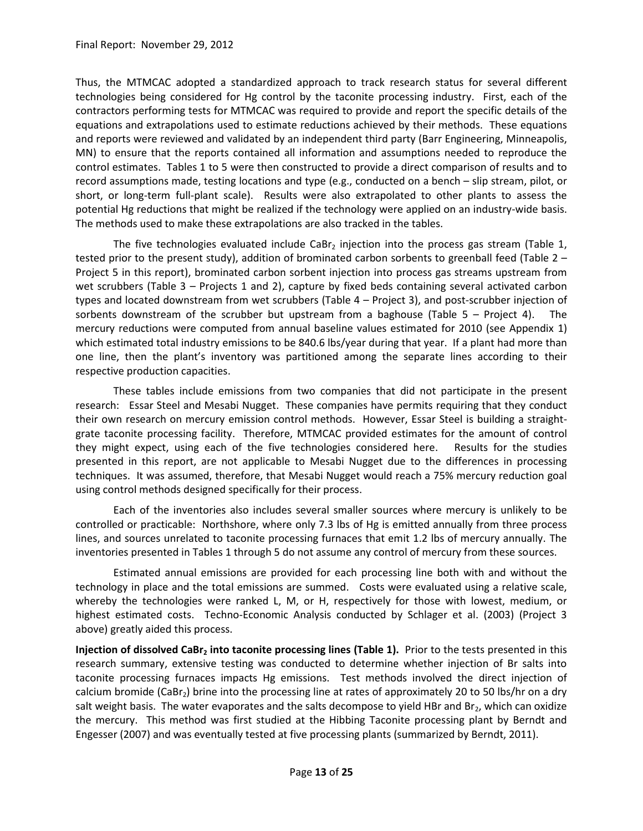Thus, the MTMCAC adopted a standardized approach to track research status for several different technologies being considered for Hg control by the taconite processing industry. First, each of the contractors performing tests for MTMCAC was required to provide and report the specific details of the equations and extrapolations used to estimate reductions achieved by their methods. These equations and reports were reviewed and validated by an independent third party (Barr Engineering, Minneapolis, MN) to ensure that the reports contained all information and assumptions needed to reproduce the control estimates. Tables 1 to 5 were then constructed to provide a direct comparison of results and to record assumptions made, testing locations and type (e.g., conducted on a bench – slip stream, pilot, or short, or long-term full-plant scale). Results were also extrapolated to other plants to assess the potential Hg reductions that might be realized if the technology were applied on an industry-wide basis. The methods used to make these extrapolations are also tracked in the tables.

The five technologies evaluated include CaBr<sub>2</sub> injection into the process gas stream (Table 1, tested prior to the present study), addition of brominated carbon sorbents to greenball feed (Table 2 – Project 5 in this report), brominated carbon sorbent injection into process gas streams upstream from wet scrubbers (Table 3 – Projects 1 and 2), capture by fixed beds containing several activated carbon types and located downstream from wet scrubbers (Table 4 – Project 3), and post-scrubber injection of sorbents downstream of the scrubber but upstream from a baghouse (Table  $5 -$  Project 4). The mercury reductions were computed from annual baseline values estimated for 2010 (see Appendix 1) which estimated total industry emissions to be 840.6 lbs/year during that year. If a plant had more than one line, then the plant's inventory was partitioned among the separate lines according to their respective production capacities.

These tables include emissions from two companies that did not participate in the present research: Essar Steel and Mesabi Nugget. These companies have permits requiring that they conduct their own research on mercury emission control methods. However, Essar Steel is building a straightgrate taconite processing facility. Therefore, MTMCAC provided estimates for the amount of control they might expect, using each of the five technologies considered here. Results for the studies presented in this report, are not applicable to Mesabi Nugget due to the differences in processing techniques. It was assumed, therefore, that Mesabi Nugget would reach a 75% mercury reduction goal using control methods designed specifically for their process.

Each of the inventories also includes several smaller sources where mercury is unlikely to be controlled or practicable: Northshore, where only 7.3 lbs of Hg is emitted annually from three process lines, and sources unrelated to taconite processing furnaces that emit 1.2 lbs of mercury annually. The inventories presented in Tables 1 through 5 do not assume any control of mercury from these sources.

Estimated annual emissions are provided for each processing line both with and without the technology in place and the total emissions are summed. Costs were evaluated using a relative scale, whereby the technologies were ranked L, M, or H, respectively for those with lowest, medium, or highest estimated costs. Techno-Economic Analysis conducted by Schlager et al. (2003) (Project 3 above) greatly aided this process.

**Injection of dissolved CaBr<sup>2</sup> into taconite processing lines (Table 1).** Prior to the tests presented in this research summary, extensive testing was conducted to determine whether injection of Br salts into taconite processing furnaces impacts Hg emissions. Test methods involved the direct injection of calcium bromide (CaBr<sub>2</sub>) brine into the processing line at rates of approximately 20 to 50 lbs/hr on a dry salt weight basis. The water evaporates and the salts decompose to yield HBr and Br<sub>2</sub>, which can oxidize the mercury. This method was first studied at the Hibbing Taconite processing plant by Berndt and Engesser (2007) and was eventually tested at five processing plants (summarized by Berndt, 2011).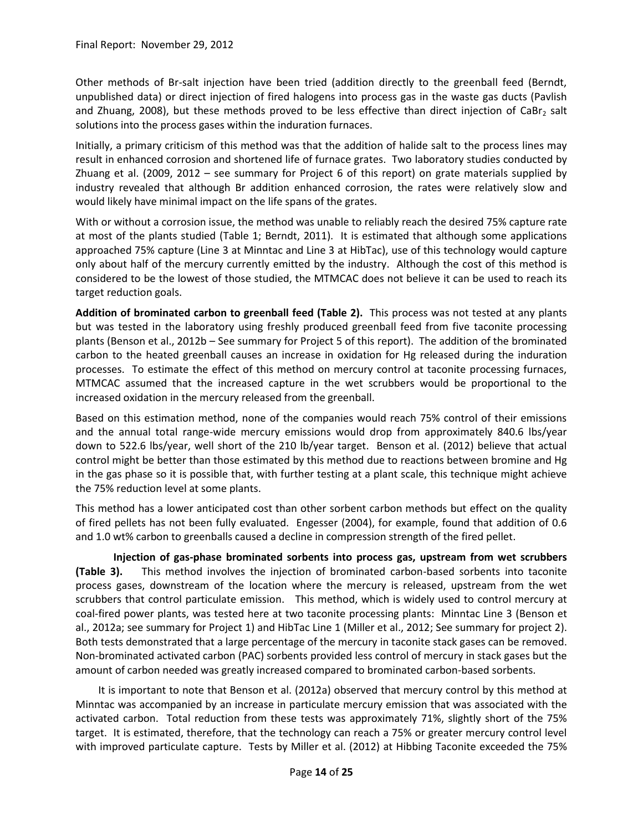Other methods of Br-salt injection have been tried (addition directly to the greenball feed (Berndt, unpublished data) or direct injection of fired halogens into process gas in the waste gas ducts (Pavlish and Zhuang, 2008), but these methods proved to be less effective than direct injection of CaBr<sub>2</sub> salt solutions into the process gases within the induration furnaces.

Initially, a primary criticism of this method was that the addition of halide salt to the process lines may result in enhanced corrosion and shortened life of furnace grates. Two laboratory studies conducted by Zhuang et al. (2009, 2012 – see summary for Project 6 of this report) on grate materials supplied by industry revealed that although Br addition enhanced corrosion, the rates were relatively slow and would likely have minimal impact on the life spans of the grates.

With or without a corrosion issue, the method was unable to reliably reach the desired 75% capture rate at most of the plants studied (Table 1; Berndt, 2011). It is estimated that although some applications approached 75% capture (Line 3 at Minntac and Line 3 at HibTac), use of this technology would capture only about half of the mercury currently emitted by the industry. Although the cost of this method is considered to be the lowest of those studied, the MTMCAC does not believe it can be used to reach its target reduction goals.

**Addition of brominated carbon to greenball feed (Table 2).** This process was not tested at any plants but was tested in the laboratory using freshly produced greenball feed from five taconite processing plants (Benson et al., 2012b – See summary for Project 5 of this report). The addition of the brominated carbon to the heated greenball causes an increase in oxidation for Hg released during the induration processes. To estimate the effect of this method on mercury control at taconite processing furnaces, MTMCAC assumed that the increased capture in the wet scrubbers would be proportional to the increased oxidation in the mercury released from the greenball.

Based on this estimation method, none of the companies would reach 75% control of their emissions and the annual total range-wide mercury emissions would drop from approximately 840.6 lbs/year down to 522.6 lbs/year, well short of the 210 lb/year target. Benson et al. (2012) believe that actual control might be better than those estimated by this method due to reactions between bromine and Hg in the gas phase so it is possible that, with further testing at a plant scale, this technique might achieve the 75% reduction level at some plants.

This method has a lower anticipated cost than other sorbent carbon methods but effect on the quality of fired pellets has not been fully evaluated. Engesser (2004), for example, found that addition of 0.6 and 1.0 wt% carbon to greenballs caused a decline in compression strength of the fired pellet.

**Injection of gas-phase brominated sorbents into process gas, upstream from wet scrubbers (Table 3).** This method involves the injection of brominated carbon-based sorbents into taconite process gases, downstream of the location where the mercury is released, upstream from the wet scrubbers that control particulate emission. This method, which is widely used to control mercury at coal-fired power plants, was tested here at two taconite processing plants: Minntac Line 3 (Benson et al., 2012a; see summary for Project 1) and HibTac Line 1 (Miller et al., 2012; See summary for project 2). Both tests demonstrated that a large percentage of the mercury in taconite stack gases can be removed. Non-brominated activated carbon (PAC) sorbents provided less control of mercury in stack gases but the amount of carbon needed was greatly increased compared to brominated carbon-based sorbents.

It is important to note that Benson et al. (2012a) observed that mercury control by this method at Minntac was accompanied by an increase in particulate mercury emission that was associated with the activated carbon. Total reduction from these tests was approximately 71%, slightly short of the 75% target. It is estimated, therefore, that the technology can reach a 75% or greater mercury control level with improved particulate capture. Tests by Miller et al. (2012) at Hibbing Taconite exceeded the 75%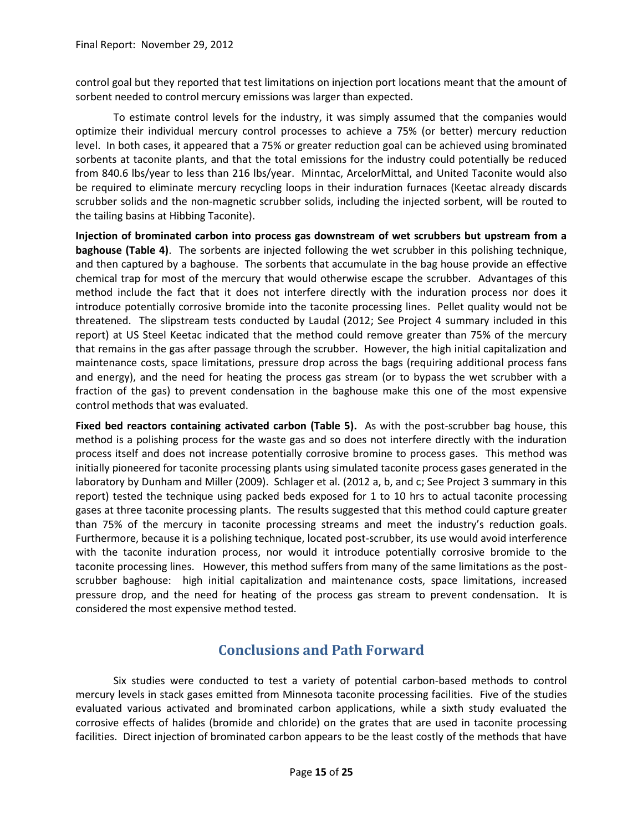control goal but they reported that test limitations on injection port locations meant that the amount of sorbent needed to control mercury emissions was larger than expected.

To estimate control levels for the industry, it was simply assumed that the companies would optimize their individual mercury control processes to achieve a 75% (or better) mercury reduction level. In both cases, it appeared that a 75% or greater reduction goal can be achieved using brominated sorbents at taconite plants, and that the total emissions for the industry could potentially be reduced from 840.6 lbs/year to less than 216 lbs/year. Minntac, ArcelorMittal, and United Taconite would also be required to eliminate mercury recycling loops in their induration furnaces (Keetac already discards scrubber solids and the non-magnetic scrubber solids, including the injected sorbent, will be routed to the tailing basins at Hibbing Taconite).

**Injection of brominated carbon into process gas downstream of wet scrubbers but upstream from a baghouse (Table 4)**. The sorbents are injected following the wet scrubber in this polishing technique, and then captured by a baghouse. The sorbents that accumulate in the bag house provide an effective chemical trap for most of the mercury that would otherwise escape the scrubber. Advantages of this method include the fact that it does not interfere directly with the induration process nor does it introduce potentially corrosive bromide into the taconite processing lines. Pellet quality would not be threatened. The slipstream tests conducted by Laudal (2012; See Project 4 summary included in this report) at US Steel Keetac indicated that the method could remove greater than 75% of the mercury that remains in the gas after passage through the scrubber. However, the high initial capitalization and maintenance costs, space limitations, pressure drop across the bags (requiring additional process fans and energy), and the need for heating the process gas stream (or to bypass the wet scrubber with a fraction of the gas) to prevent condensation in the baghouse make this one of the most expensive control methods that was evaluated.

**Fixed bed reactors containing activated carbon (Table 5).** As with the post-scrubber bag house, this method is a polishing process for the waste gas and so does not interfere directly with the induration process itself and does not increase potentially corrosive bromine to process gases. This method was initially pioneered for taconite processing plants using simulated taconite process gases generated in the laboratory by Dunham and Miller (2009). Schlager et al. (2012 a, b, and c; See Project 3 summary in this report) tested the technique using packed beds exposed for 1 to 10 hrs to actual taconite processing gases at three taconite processing plants. The results suggested that this method could capture greater than 75% of the mercury in taconite processing streams and meet the industry's reduction goals. Furthermore, because it is a polishing technique, located post-scrubber, its use would avoid interference with the taconite induration process, nor would it introduce potentially corrosive bromide to the taconite processing lines. However, this method suffers from many of the same limitations as the postscrubber baghouse: high initial capitalization and maintenance costs, space limitations, increased pressure drop, and the need for heating of the process gas stream to prevent condensation. It is considered the most expensive method tested.

# **Conclusions and Path Forward**

<span id="page-14-0"></span>Six studies were conducted to test a variety of potential carbon-based methods to control mercury levels in stack gases emitted from Minnesota taconite processing facilities. Five of the studies evaluated various activated and brominated carbon applications, while a sixth study evaluated the corrosive effects of halides (bromide and chloride) on the grates that are used in taconite processing facilities. Direct injection of brominated carbon appears to be the least costly of the methods that have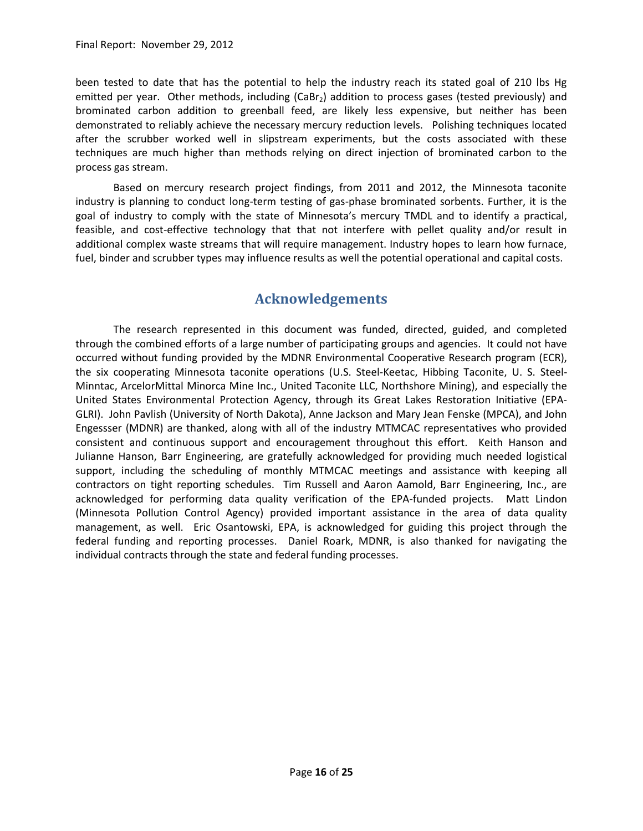been tested to date that has the potential to help the industry reach its stated goal of 210 lbs Hg emitted per year. Other methods, including (CaBr<sub>2</sub>) addition to process gases (tested previously) and brominated carbon addition to greenball feed, are likely less expensive, but neither has been demonstrated to reliably achieve the necessary mercury reduction levels. Polishing techniques located after the scrubber worked well in slipstream experiments, but the costs associated with these techniques are much higher than methods relying on direct injection of brominated carbon to the process gas stream.

Based on mercury research project findings, from 2011 and 2012, the Minnesota taconite industry is planning to conduct long-term testing of gas-phase brominated sorbents. Further, it is the goal of industry to comply with the state of Minnesota's mercury TMDL and to identify a practical, feasible, and cost-effective technology that that not interfere with pellet quality and/or result in additional complex waste streams that will require management. Industry hopes to learn how furnace, fuel, binder and scrubber types may influence results as well the potential operational and capital costs.

### **Acknowledgements**

<span id="page-15-0"></span>The research represented in this document was funded, directed, guided, and completed through the combined efforts of a large number of participating groups and agencies. It could not have occurred without funding provided by the MDNR Environmental Cooperative Research program (ECR), the six cooperating Minnesota taconite operations (U.S. Steel-Keetac, Hibbing Taconite, U. S. Steel-Minntac, ArcelorMittal Minorca Mine Inc., United Taconite LLC, Northshore Mining), and especially the United States Environmental Protection Agency, through its Great Lakes Restoration Initiative (EPA-GLRI). John Pavlish (University of North Dakota), Anne Jackson and Mary Jean Fenske (MPCA), and John Engessser (MDNR) are thanked, along with all of the industry MTMCAC representatives who provided consistent and continuous support and encouragement throughout this effort. Keith Hanson and Julianne Hanson, Barr Engineering, are gratefully acknowledged for providing much needed logistical support, including the scheduling of monthly MTMCAC meetings and assistance with keeping all contractors on tight reporting schedules. Tim Russell and Aaron Aamold, Barr Engineering, Inc., are acknowledged for performing data quality verification of the EPA-funded projects. Matt Lindon (Minnesota Pollution Control Agency) provided important assistance in the area of data quality management, as well. Eric Osantowski, EPA, is acknowledged for guiding this project through the federal funding and reporting processes. Daniel Roark, MDNR, is also thanked for navigating the individual contracts through the state and federal funding processes.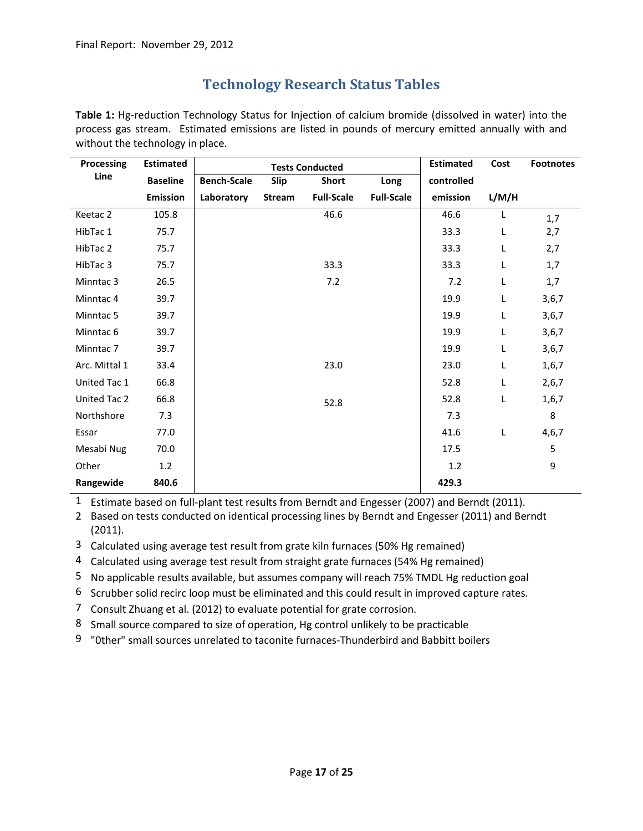### **Technology Research Status Tables**

<span id="page-16-0"></span>**Table 1:** Hg-reduction Technology Status for Injection of calcium bromide (dissolved in water) into the process gas stream. Estimated emissions are listed in pounds of mercury emitted annually with and without the technology in place.

| <b>Processing</b>    | <b>Estimated</b> | <b>Tests Conducted</b> |               |                   |                   | <b>Estimated</b> | Cost  | <b>Footnotes</b> |
|----------------------|------------------|------------------------|---------------|-------------------|-------------------|------------------|-------|------------------|
| Line                 | <b>Baseline</b>  | <b>Bench-Scale</b>     | Slip          | Short             | Long              | controlled       |       |                  |
|                      | <b>Emission</b>  | Laboratory             | <b>Stream</b> | <b>Full-Scale</b> | <b>Full-Scale</b> | emission         | L/M/H |                  |
| Keetac 2             | 105.8            |                        |               | 46.6              |                   | 46.6             | L     | 1,7              |
| HibTac 1             | 75.7             |                        |               |                   |                   | 33.3             | Г     | 2,7              |
| HibTac 2             | 75.7             |                        |               |                   |                   | 33.3             | L     | 2,7              |
| HibTac 3             | 75.7             |                        |               | 33.3              |                   | 33.3             | Г     | 1,7              |
| Minntac <sub>3</sub> | 26.5             |                        |               | 7.2               |                   | 7.2              | Г     | 1,7              |
| Minntac <sub>4</sub> | 39.7             |                        |               |                   |                   | 19.9             | Г     | 3,6,7            |
| Minntac 5            | 39.7             |                        |               |                   |                   | 19.9             | Г     | 3,6,7            |
| Minntac <sub>6</sub> | 39.7             |                        |               |                   |                   | 19.9             | L     | 3,6,7            |
| Minntac <sub>7</sub> | 39.7             |                        |               |                   |                   | 19.9             | L     | 3,6,7            |
| Arc. Mittal 1        | 33.4             |                        |               | 23.0              |                   | 23.0             | Г     | 1,6,7            |
| United Tac 1         | 66.8             |                        |               |                   |                   | 52.8             | L     | 2,6,7            |
| United Tac 2         | 66.8             |                        |               | 52.8              |                   | 52.8             | Г     | 1,6,7            |
| Northshore           | 7.3              |                        |               |                   |                   | 7.3              |       | 8                |
| Essar                | 77.0             |                        |               |                   |                   | 41.6             | L     | 4,6,7            |
| Mesabi Nug           | 70.0             |                        |               |                   |                   | 17.5             |       | 5                |
| Other                | 1.2              |                        |               |                   |                   | 1.2              |       | 9                |
| Rangewide            | 840.6            |                        |               |                   |                   | 429.3            |       |                  |

1 Estimate based on full-plant test results from Berndt and Engesser (2007) and Berndt (2011).

2 Based on tests conducted on identical processing lines by Berndt and Engesser (2011) and Berndt (2011).

3 Calculated using average test result from grate kiln furnaces (50% Hg remained)

4 Calculated using average test result from straight grate furnaces (54% Hg remained)

5 No applicable results available, but assumes company will reach 75% TMDL Hg reduction goal

6 Scrubber solid recirc loop must be eliminated and this could result in improved capture rates.

- 7 Consult Zhuang et al. (2012) to evaluate potential for grate corrosion.
- 8 Small source compared to size of operation, Hg control unlikely to be practicable
- 9 "0ther" small sources unrelated to taconite furnaces-Thunderbird and Babbitt boilers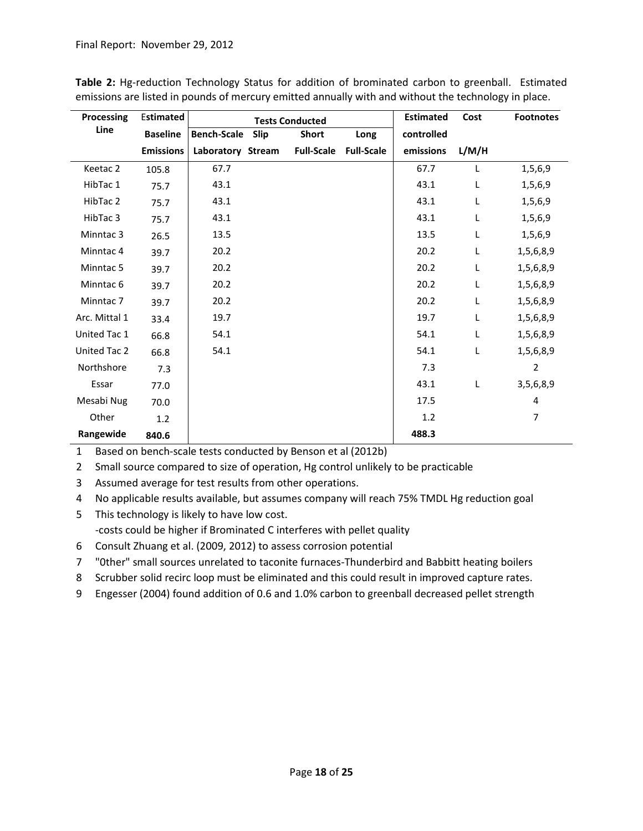| Processing           | <b>Estimated</b> |                    |      | <b>Tests Conducted</b> |                   | <b>Estimated</b> | Cost  | <b>Footnotes</b> |
|----------------------|------------------|--------------------|------|------------------------|-------------------|------------------|-------|------------------|
| Line                 | <b>Baseline</b>  | <b>Bench-Scale</b> | Slip | <b>Short</b>           | Long              | controlled       |       |                  |
|                      | <b>Emissions</b> | Laboratory Stream  |      | <b>Full-Scale</b>      | <b>Full-Scale</b> | emissions        | L/M/H |                  |
| Keetac 2             | 105.8            | 67.7               |      |                        |                   | 67.7             | L.    | 1,5,6,9          |
| HibTac 1             | 75.7             | 43.1               |      |                        |                   | 43.1             | L     | 1,5,6,9          |
| HibTac 2             | 75.7             | 43.1               |      |                        |                   | 43.1             | L     | 1,5,6,9          |
| HibTac 3             | 75.7             | 43.1               |      |                        |                   | 43.1             | L     | 1,5,6,9          |
| Minntac 3            | 26.5             | 13.5               |      |                        |                   | 13.5             | L     | 1,5,6,9          |
| Minntac 4            | 39.7             | 20.2               |      |                        |                   | 20.2             | L     | 1,5,6,8,9        |
| Minntac 5            | 39.7             | 20.2               |      |                        |                   | 20.2             | L     | 1,5,6,8,9        |
| Minntac <sub>6</sub> | 39.7             | 20.2               |      |                        |                   | 20.2             | L     | 1,5,6,8,9        |
| Minntac <sub>7</sub> | 39.7             | 20.2               |      |                        |                   | 20.2             | L     | 1,5,6,8,9        |
| Arc. Mittal 1        | 33.4             | 19.7               |      |                        |                   | 19.7             | L     | 1,5,6,8,9        |
| United Tac 1         | 66.8             | 54.1               |      |                        |                   | 54.1             | L     | 1,5,6,8,9        |
| United Tac 2         | 66.8             | 54.1               |      |                        |                   | 54.1             | L     | 1,5,6,8,9        |
| Northshore           | 7.3              |                    |      |                        |                   | 7.3              |       | $\overline{2}$   |
| Essar                | 77.0             |                    |      |                        |                   | 43.1             | L     | 3,5,6,8,9        |
| Mesabi Nug           | 70.0             |                    |      |                        |                   | 17.5             |       | 4                |
| Other                | 1.2              |                    |      |                        |                   | 1.2              |       | $\overline{7}$   |
| Rangewide            | 840.6            |                    |      |                        |                   | 488.3            |       |                  |

**Table 2:** Hg-reduction Technology Status for addition of brominated carbon to greenball. Estimated emissions are listed in pounds of mercury emitted annually with and without the technology in place.

1 Based on bench-scale tests conducted by Benson et al (2012b)

2 Small source compared to size of operation, Hg control unlikely to be practicable

3 Assumed average for test results from other operations.

4 No applicable results available, but assumes company will reach 75% TMDL Hg reduction goal

5 This technology is likely to have low cost. -costs could be higher if Brominated C interferes with pellet quality

6 Consult Zhuang et al. (2009, 2012) to assess corrosion potential

7 "0ther" small sources unrelated to taconite furnaces-Thunderbird and Babbitt heating boilers

8 Scrubber solid recirc loop must be eliminated and this could result in improved capture rates.

9 Engesser (2004) found addition of 0.6 and 1.0% carbon to greenball decreased pellet strength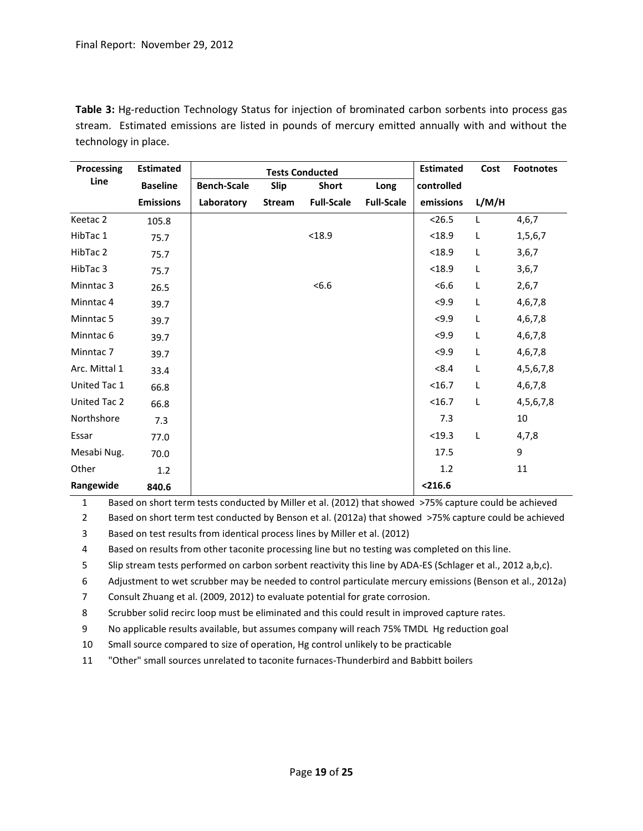**Table 3:** Hg-reduction Technology Status for injection of brominated carbon sorbents into process gas stream. Estimated emissions are listed in pounds of mercury emitted annually with and without the technology in place.

| Processing           | <b>Estimated</b><br><b>Tests Conducted</b> |                    |               |                   |                   | <b>Estimated</b> | Cost  | <b>Footnotes</b> |
|----------------------|--------------------------------------------|--------------------|---------------|-------------------|-------------------|------------------|-------|------------------|
| Line                 | <b>Baseline</b>                            | <b>Bench-Scale</b> | Slip          | <b>Short</b>      | Long              | controlled       |       |                  |
|                      | <b>Emissions</b>                           | Laboratory         | <b>Stream</b> | <b>Full-Scale</b> | <b>Full-Scale</b> | emissions        | L/M/H |                  |
| Keetac 2             | 105.8                                      |                    |               |                   |                   | < 26.5           | L     | 4,6,7            |
| HibTac 1             | 75.7                                       |                    |               | < 18.9            |                   | < 18.9           | L     | 1,5,6,7          |
| HibTac 2             | 75.7                                       |                    |               |                   |                   | < 18.9           | L     | 3,6,7            |
| HibTac 3             | 75.7                                       |                    |               |                   |                   | < 18.9           | L     | 3,6,7            |
| Minntac <sub>3</sub> | 26.5                                       |                    |               | < 6.6             |                   | <6.6             | L     | 2,6,7            |
| Minntac 4            | 39.7                                       |                    |               |                   |                   | 59.9             | L     | 4,6,7,8          |
| Minntac 5            | 39.7                                       |                    |               |                   |                   | 59.9             | L     | 4,6,7,8          |
| Minntac <sub>6</sub> | 39.7                                       |                    |               |                   |                   | 59.9             | L     | 4,6,7,8          |
| Minntac <sub>7</sub> | 39.7                                       |                    |               |                   |                   | $5 - 9.9$        | L     | 4,6,7,8          |
| Arc. Mittal 1        | 33.4                                       |                    |               |                   |                   | < 8.4            | L     | 4, 5, 6, 7, 8    |
| United Tac 1         | 66.8                                       |                    |               |                   |                   | <16.7            | L     | 4,6,7,8          |
| United Tac 2         | 66.8                                       |                    |               |                   |                   | $16.7$           | L     | 4,5,6,7,8        |
| Northshore           | 7.3                                        |                    |               |                   |                   | 7.3              |       | 10               |
| Essar                | 77.0                                       |                    |               |                   |                   | $19.3$           | L     | 4,7,8            |
| Mesabi Nug.          | 70.0                                       |                    |               |                   |                   | 17.5             |       | 9                |
| Other                | 1.2                                        |                    |               |                   |                   | 1.2              |       | 11               |
| Rangewide            | 840.6                                      |                    |               |                   |                   | < 216.6          |       |                  |

1 Based on short term tests conducted by Miller et al. (2012) that showed >75% capture could be achieved

2 Based on short term test conducted by Benson et al. (2012a) that showed >75% capture could be achieved

3 Based on test results from identical process lines by Miller et al. (2012)

4 Based on results from other taconite processing line but no testing was completed on this line.

5 Slip stream tests performed on carbon sorbent reactivity this line by ADA-ES (Schlager et al., 2012 a,b,c).

6 Adjustment to wet scrubber may be needed to control particulate mercury emissions (Benson et al., 2012a)

7 Consult Zhuang et al. (2009, 2012) to evaluate potential for grate corrosion.

8 Scrubber solid recirc loop must be eliminated and this could result in improved capture rates.

9 No applicable results available, but assumes company will reach 75% TMDL Hg reduction goal

10 Small source compared to size of operation, Hg control unlikely to be practicable

11 "Other" small sources unrelated to taconite furnaces-Thunderbird and Babbitt boilers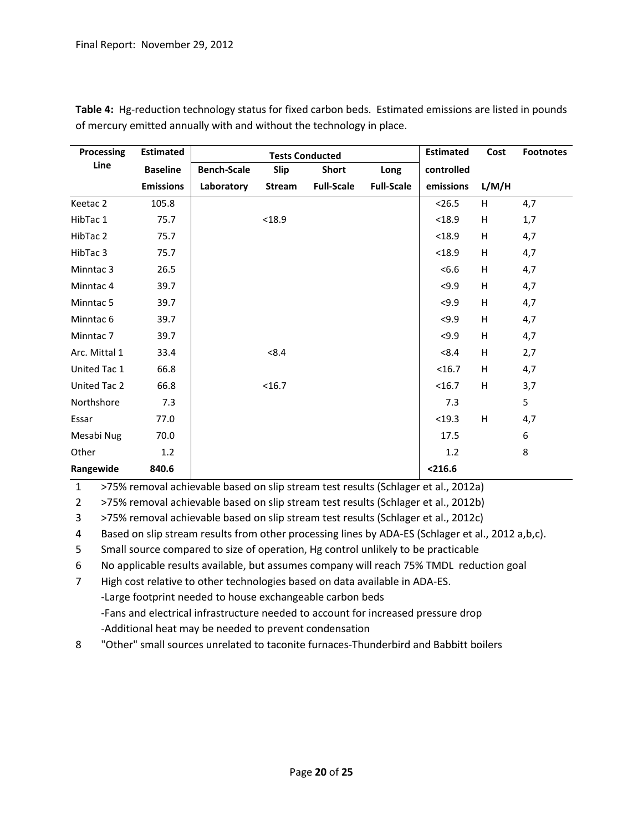| Processing           | <b>Estimated</b> |                    | <b>Tests Conducted</b>       | <b>Estimated</b>  | Cost              | <b>Footnotes</b> |                           |                  |
|----------------------|------------------|--------------------|------------------------------|-------------------|-------------------|------------------|---------------------------|------------------|
| Line                 | <b>Baseline</b>  | <b>Bench-Scale</b> | Slip<br><b>Short</b><br>Long |                   | controlled        |                  |                           |                  |
|                      | <b>Emissions</b> | Laboratory         | <b>Stream</b>                | <b>Full-Scale</b> | <b>Full-Scale</b> | emissions        | L/M/H                     |                  |
| Keetac 2             | 105.8            |                    |                              |                   |                   | < 26.5           | H                         | 4,7              |
| HibTac 1             | 75.7             |                    | < 18.9                       |                   |                   | < 18.9           | Н                         | 1,7              |
| HibTac 2             | 75.7             |                    |                              |                   |                   | < 18.9           | н                         | 4,7              |
| HibTac 3             | 75.7             |                    |                              |                   |                   | < 18.9           | н                         | 4,7              |
| Minntac 3            | 26.5             |                    |                              |                   |                   | < 6.6            | $\boldsymbol{\mathsf{H}}$ | 4,7              |
| Minntac 4            | 39.7             |                    |                              |                   |                   | < 9.9            | H                         | 4,7              |
| Minntac 5            | 39.7             |                    |                              |                   |                   | 59.9             | H                         | 4,7              |
| Minntac <sub>6</sub> | 39.7             |                    |                              |                   |                   | < 9.9            | H                         | 4,7              |
| Minntac <sub>7</sub> | 39.7             |                    |                              |                   |                   | 59.9             | $\boldsymbol{\mathsf{H}}$ | 4,7              |
| Arc. Mittal 1        | 33.4             |                    | < 8.4                        |                   |                   | < 8.4            | H                         | 2,7              |
| United Tac 1         | 66.8             |                    |                              |                   |                   | < 16.7           | Н                         | 4,7              |
| United Tac 2         | 66.8             |                    | <16.7                        |                   |                   | < 16.7           | H                         | 3,7              |
| Northshore           | 7.3              |                    |                              |                   |                   | 7.3              |                           | 5                |
| Essar                | 77.0             |                    |                              |                   |                   | $19.3$           | $\mathsf H$               | 4,7              |
| Mesabi Nug           | 70.0             |                    |                              |                   |                   | 17.5             |                           | $\boldsymbol{6}$ |
| Other                | 1.2              |                    |                              |                   |                   | 1.2              |                           | 8                |
| Rangewide            | 840.6            |                    |                              |                   |                   | < 216.6          |                           |                  |

**Table 4:** Hg-reduction technology status for fixed carbon beds. Estimated emissions are listed in pounds of mercury emitted annually with and without the technology in place.

1 >75% removal achievable based on slip stream test results (Schlager et al., 2012a)

2 >75% removal achievable based on slip stream test results (Schlager et al., 2012b)

3 >75% removal achievable based on slip stream test results (Schlager et al., 2012c)

4 Based on slip stream results from other processing lines by ADA-ES (Schlager et al., 2012 a,b,c).

5 Small source compared to size of operation, Hg control unlikely to be practicable

6 No applicable results available, but assumes company will reach 75% TMDL reduction goal

7 High cost relative to other technologies based on data available in ADA-ES.

-Large footprint needed to house exchangeable carbon beds

-Fans and electrical infrastructure needed to account for increased pressure drop -Additional heat may be needed to prevent condensation

8 "Other" small sources unrelated to taconite furnaces-Thunderbird and Babbitt boilers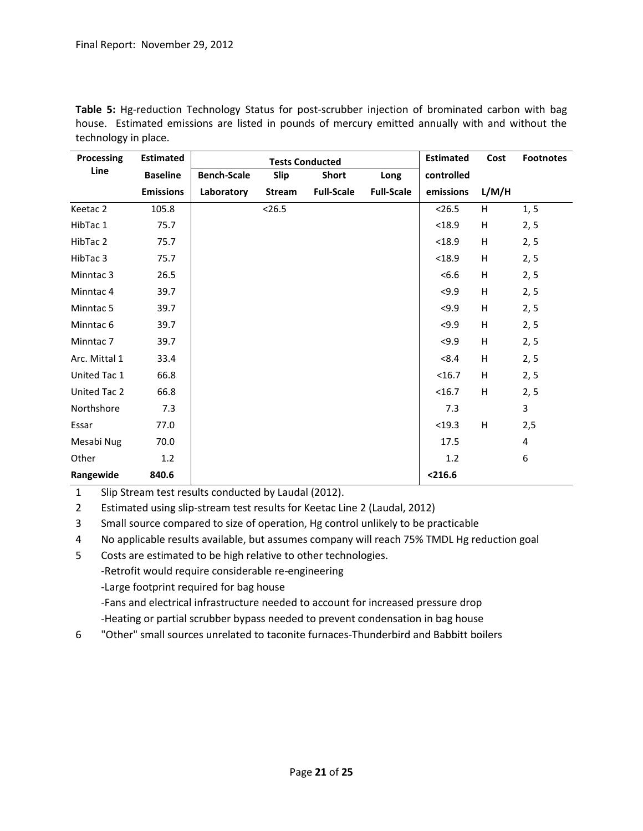| Processing           | <b>Estimated</b> |                    | <b>Tests Conducted</b>       |                   |                   | <b>Estimated</b> | Cost  | <b>Footnotes</b> |
|----------------------|------------------|--------------------|------------------------------|-------------------|-------------------|------------------|-------|------------------|
| Line                 | <b>Baseline</b>  | <b>Bench-Scale</b> | Slip<br><b>Short</b><br>Long |                   | controlled        |                  |       |                  |
|                      | <b>Emissions</b> | Laboratory         | Stream                       | <b>Full-Scale</b> | <b>Full-Scale</b> | emissions        | L/M/H |                  |
| Keetac 2             | 105.8            |                    | < 26.5                       |                   |                   | < 26.5           | H     | 1, 5             |
| HibTac 1             | 75.7             |                    |                              |                   |                   | < 18.9           | H     | 2, 5             |
| HibTac 2             | 75.7             |                    |                              |                   |                   | < 18.9           | H     | 2, 5             |
| HibTac 3             | 75.7             |                    |                              |                   |                   | < 18.9           | Н     | 2, 5             |
| Minntac <sub>3</sub> | 26.5             |                    |                              |                   |                   | <6.6             | H     | 2, 5             |
| Minntac 4            | 39.7             |                    |                              |                   |                   | 59.9             | H     | 2, 5             |
| Minntac 5            | 39.7             |                    |                              |                   |                   | < 9.9            | H     | 2, 5             |
| Minntac <sub>6</sub> | 39.7             |                    |                              |                   |                   | 59.9             | H     | 2, 5             |
| Minntac <sub>7</sub> | 39.7             |                    |                              |                   |                   | 59.9             | H     | 2, 5             |
| Arc. Mittal 1        | 33.4             |                    |                              |                   |                   | < 8.4            | H     | 2, 5             |
| United Tac 1         | 66.8             |                    |                              |                   |                   | <16.7            | H     | 2, 5             |
| United Tac 2         | 66.8             |                    |                              |                   |                   | <16.7            | H     | 2, 5             |
| Northshore           | 7.3              |                    |                              |                   |                   | 7.3              |       | 3                |
| Essar                | 77.0             |                    |                              |                   |                   | < 19.3           | H     | 2,5              |
| Mesabi Nug           | 70.0             |                    |                              |                   |                   | 17.5             |       | $\overline{4}$   |
| Other                | 1.2              |                    |                              |                   |                   | 1.2              |       | 6                |
| Rangewide            | 840.6            |                    |                              |                   |                   | < 216.6          |       |                  |

**Table 5:** Hg-reduction Technology Status for post-scrubber injection of brominated carbon with bag house. Estimated emissions are listed in pounds of mercury emitted annually with and without the technology in place.

1 Slip Stream test results conducted by Laudal (2012).

2 Estimated using slip-stream test results for Keetac Line 2 (Laudal, 2012)

3 Small source compared to size of operation, Hg control unlikely to be practicable

4 No applicable results available, but assumes company will reach 75% TMDL Hg reduction goal

5 Costs are estimated to be high relative to other technologies.

-Retrofit would require considerable re-engineering

-Large footprint required for bag house

-Fans and electrical infrastructure needed to account for increased pressure drop

-Heating or partial scrubber bypass needed to prevent condensation in bag house

6 "Other" small sources unrelated to taconite furnaces-Thunderbird and Babbitt boilers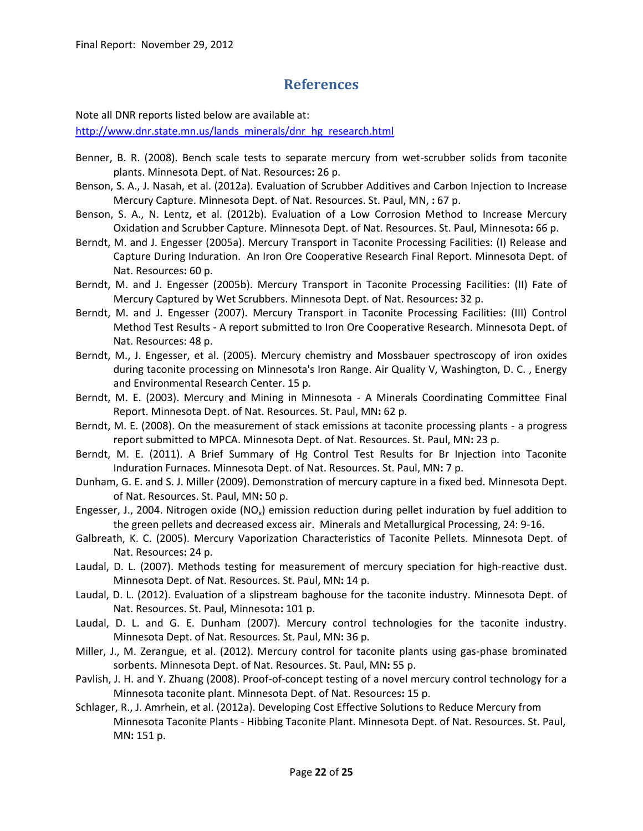### **References**

<span id="page-21-0"></span>Note all DNR reports listed below are available at:

[http://www.dnr.state.mn.us/lands\\_minerals/dnr\\_hg\\_research.html](http://www.dnr.state.mn.us/lands_minerals/dnr_hg_research.html)

- Benner, B. R. (2008). Bench scale tests to separate mercury from wet-scrubber solids from taconite plants. Minnesota Dept. of Nat. Resources**:** 26 p.
- Benson, S. A., J. Nasah, et al. (2012a). Evaluation of Scrubber Additives and Carbon Injection to Increase Mercury Capture. Minnesota Dept. of Nat. Resources. St. Paul, MN, **:** 67 p.
- Benson, S. A., N. Lentz, et al. (2012b). Evaluation of a Low Corrosion Method to Increase Mercury Oxidation and Scrubber Capture. Minnesota Dept. of Nat. Resources. St. Paul, Minnesota**:** 66 p.
- Berndt, M. and J. Engesser (2005a). Mercury Transport in Taconite Processing Facilities: (I) Release and Capture During Induration. An Iron Ore Cooperative Research Final Report. Minnesota Dept. of Nat. Resources**:** 60 p.
- Berndt, M. and J. Engesser (2005b). Mercury Transport in Taconite Processing Facilities: (II) Fate of Mercury Captured by Wet Scrubbers. Minnesota Dept. of Nat. Resources**:** 32 p.
- Berndt, M. and J. Engesser (2007). Mercury Transport in Taconite Processing Facilities: (III) Control Method Test Results - A report submitted to Iron Ore Cooperative Research. Minnesota Dept. of Nat. Resources: 48 p.
- Berndt, M., J. Engesser, et al. (2005). Mercury chemistry and Mossbauer spectroscopy of iron oxides during taconite processing on Minnesota's Iron Range. Air Quality V, Washington, D. C. , Energy and Environmental Research Center. 15 p.
- Berndt, M. E. (2003). Mercury and Mining in Minnesota A Minerals Coordinating Committee Final Report. Minnesota Dept. of Nat. Resources. St. Paul, MN**:** 62 p.
- Berndt, M. E. (2008). On the measurement of stack emissions at taconite processing plants a progress report submitted to MPCA. Minnesota Dept. of Nat. Resources. St. Paul, MN**:** 23 p.
- Berndt, M. E. (2011). A Brief Summary of Hg Control Test Results for Br Injection into Taconite Induration Furnaces. Minnesota Dept. of Nat. Resources. St. Paul, MN**:** 7 p.
- Dunham, G. E. and S. J. Miller (2009). Demonstration of mercury capture in a fixed bed. Minnesota Dept. of Nat. Resources. St. Paul, MN**:** 50 p.
- Engesser, J., 2004. Nitrogen oxide (NO<sub>x</sub>) emission reduction during pellet induration by fuel addition to the green pellets and decreased excess air. Minerals and Metallurgical Processing, 24: 9-16.
- Galbreath, K. C. (2005). Mercury Vaporization Characteristics of Taconite Pellets. Minnesota Dept. of Nat. Resources**:** 24 p.
- Laudal, D. L. (2007). Methods testing for measurement of mercury speciation for high-reactive dust. Minnesota Dept. of Nat. Resources. St. Paul, MN**:** 14 p.
- Laudal, D. L. (2012). Evaluation of a slipstream baghouse for the taconite industry. Minnesota Dept. of Nat. Resources. St. Paul, Minnesota**:** 101 p.
- Laudal, D. L. and G. E. Dunham (2007). Mercury control technologies for the taconite industry. Minnesota Dept. of Nat. Resources. St. Paul, MN**:** 36 p.
- Miller, J., M. Zerangue, et al. (2012). Mercury control for taconite plants using gas-phase brominated sorbents. Minnesota Dept. of Nat. Resources. St. Paul, MN**:** 55 p.
- Pavlish, J. H. and Y. Zhuang (2008). Proof-of-concept testing of a novel mercury control technology for a Minnesota taconite plant. Minnesota Dept. of Nat. Resources**:** 15 p.
- Schlager, R., J. Amrhein, et al. (2012a). Developing Cost Effective Solutions to Reduce Mercury from Minnesota Taconite Plants - Hibbing Taconite Plant. Minnesota Dept. of Nat. Resources. St. Paul, MN**:** 151 p.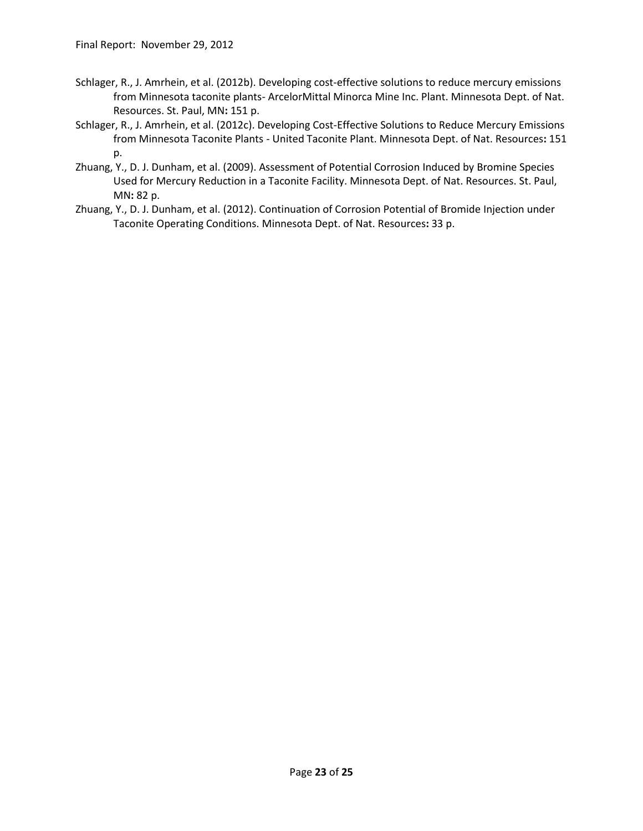- Schlager, R., J. Amrhein, et al. (2012b). Developing cost-effective solutions to reduce mercury emissions from Minnesota taconite plants- ArcelorMittal Minorca Mine Inc. Plant. Minnesota Dept. of Nat. Resources. St. Paul, MN**:** 151 p.
- Schlager, R., J. Amrhein, et al. (2012c). Developing Cost-Effective Solutions to Reduce Mercury Emissions from Minnesota Taconite Plants - United Taconite Plant. Minnesota Dept. of Nat. Resources**:** 151 p.
- Zhuang, Y., D. J. Dunham, et al. (2009). Assessment of Potential Corrosion Induced by Bromine Species Used for Mercury Reduction in a Taconite Facility. Minnesota Dept. of Nat. Resources. St. Paul, MN**:** 82 p.
- Zhuang, Y., D. J. Dunham, et al. (2012). Continuation of Corrosion Potential of Bromide Injection under Taconite Operating Conditions. Minnesota Dept. of Nat. Resources**:** 33 p.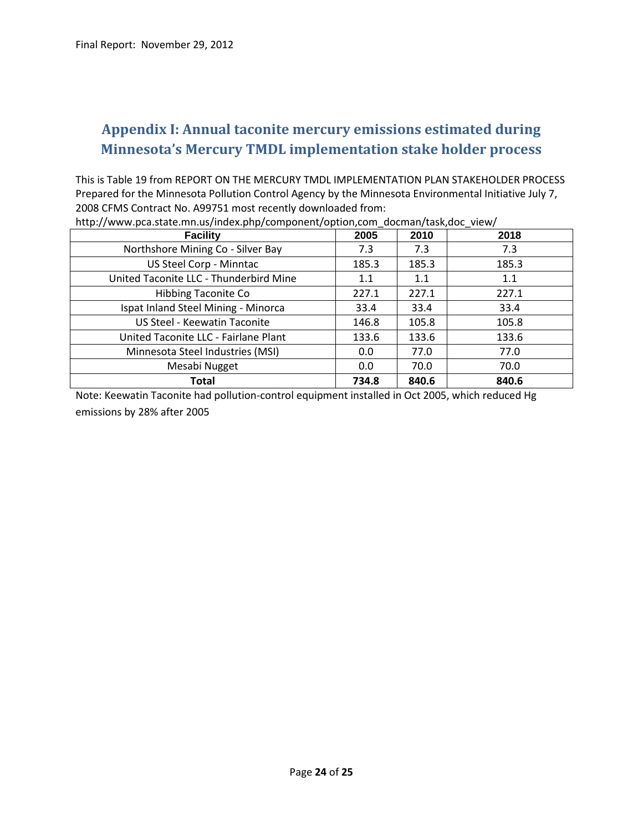# <span id="page-23-0"></span>**Appendix I: Annual taconite mercury emissions estimated during Minnesota's Mercury TMDL implementation stake holder process**

This is Table 19 from REPORT ON THE MERCURY TMDL IMPLEMENTATION PLAN STAKEHOLDER PROCESS Prepared for the Minnesota Pollution Control Agency by the Minnesota Environmental Initiative July 7, 2008 CFMS Contract No. A99751 most recently downloaded from:

| <b>Facility</b>                        | 2005  | 2010  | 2018  |
|----------------------------------------|-------|-------|-------|
| Northshore Mining Co - Silver Bay      | 7.3   | 7.3   | 7.3   |
| US Steel Corp - Minntac                | 185.3 | 185.3 | 185.3 |
| United Taconite LLC - Thunderbird Mine | 1.1   | 1.1   | 1.1   |
| <b>Hibbing Taconite Co</b>             | 227.1 | 227.1 | 227.1 |
| Ispat Inland Steel Mining - Minorca    | 33.4  | 33.4  | 33.4  |
| US Steel - Keewatin Taconite           | 146.8 | 105.8 | 105.8 |
| United Taconite LLC - Fairlane Plant   | 133.6 | 133.6 | 133.6 |
| Minnesota Steel Industries (MSI)       | 0.0   | 77.0  | 77.0  |
| Mesabi Nugget                          | 0.0   | 70.0  | 70.0  |
| Total                                  | 734.8 | 840.6 | 840.6 |

http://www.pca.state.mn.us/index.php/component/option,com\_docman/task,doc\_view/

Note: Keewatin Taconite had pollution-control equipment installed in Oct 2005, which reduced Hg emissions by 28% after 2005